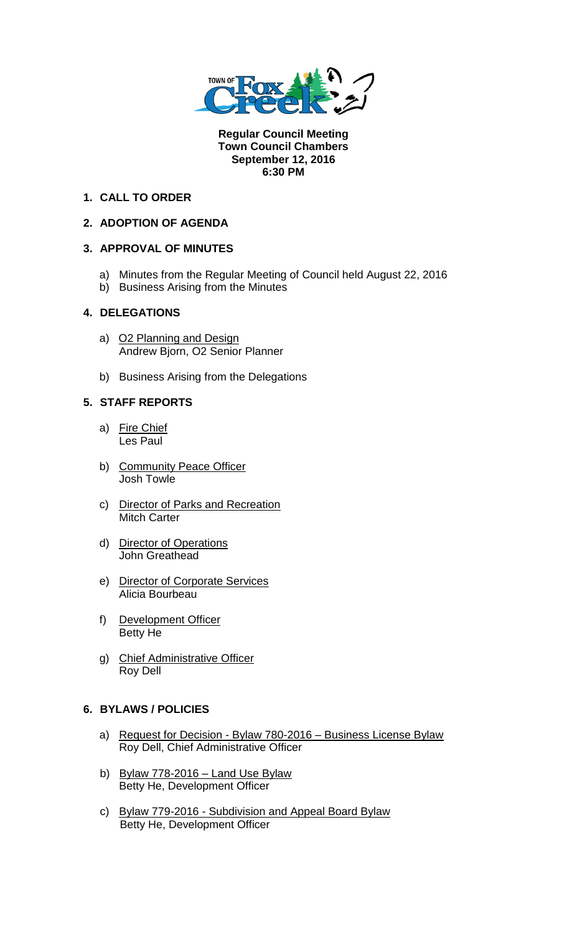

**Regular Council Meeting Town Council Chambers September 12, 2016 6:30 PM** 

# **1. CALL TO ORDER**

# **2. ADOPTION OF AGENDA**

## **3. APPROVAL OF MINUTES**

- a) Minutes from the Regular Meeting of Council held August 22, 2016
- b) Business Arising from the Minutes

# **4. DELEGATIONS**

- a) O2 Planning and Design Andrew Bjorn, O2 Senior Planner
- b) Business Arising from the Delegations

# **5. STAFF REPORTS**

- a) Fire Chief Les Paul
- b) Community Peace Officer Josh Towle
- c) Director of Parks and Recreation Mitch Carter
- d) Director of Operations John Greathead
- e) Director of Corporate Services Alicia Bourbeau
- f) Development Officer Betty He
- g) Chief Administrative Officer Roy Dell

## **6. BYLAWS / POLICIES**

- a) Request for Decision Bylaw 780-2016 Business License Bylaw Roy Dell, Chief Administrative Officer
- b) Bylaw 778-2016 Land Use Bylaw Betty He, Development Officer
- c) Bylaw 779-2016 Subdivision and Appeal Board Bylaw Betty He, Development Officer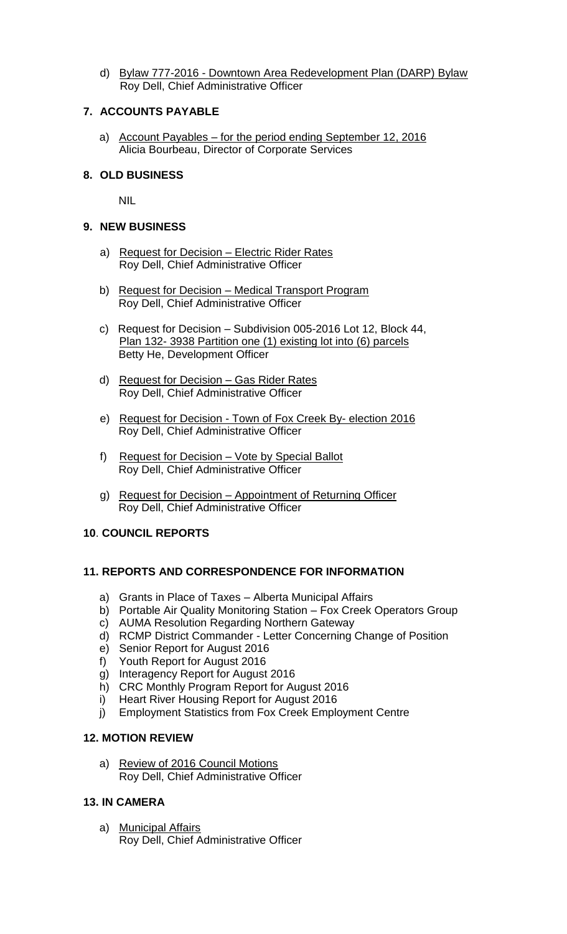d) Bylaw 777-2016 - Downtown Area Redevelopment Plan (DARP) Bylaw Roy Dell, Chief Administrative Officer

## **7. ACCOUNTS PAYABLE**

a) Account Payables - for the period ending September 12, 2016 Alicia Bourbeau, Director of Corporate Services

### **8. OLD BUSINESS**

NIL

### **9. NEW BUSINESS**

- a) Request for Decision Electric Rider Rates Roy Dell, Chief Administrative Officer
- b) Request for Decision Medical Transport Program Roy Dell, Chief Administrative Officer
- c) Request for Decision Subdivision 005-2016 Lot 12, Block 44, Plan 132- 3938 Partition one (1) existing lot into (6) parcels Betty He, Development Officer
- d) Request for Decision Gas Rider Rates Roy Dell, Chief Administrative Officer
- e) Request for Decision Town of Fox Creek By- election 2016 Roy Dell, Chief Administrative Officer
- f) Request for Decision Vote by Special Ballot Roy Dell, Chief Administrative Officer
- g) Request for Decision Appointment of Returning Officer Roy Dell, Chief Administrative Officer

## **10**. **COUNCIL REPORTS**

## **11. REPORTS AND CORRESPONDENCE FOR INFORMATION**

- a) Grants in Place of Taxes Alberta Municipal Affairs
- b) Portable Air Quality Monitoring Station Fox Creek Operators Group
- c) AUMA Resolution Regarding Northern Gateway
- d) RCMP District Commander Letter Concerning Change of Position
- e) Senior Report for August 2016
- f) Youth Report for August 2016
- g) Interagency Report for August 2016
- h) CRC Monthly Program Report for August 2016
- i) Heart River Housing Report for August 2016
- j) Employment Statistics from Fox Creek Employment Centre

#### **12. MOTION REVIEW**

a) Review of 2016 Council Motions Roy Dell, Chief Administrative Officer

# **13. IN CAMERA**

a) Municipal Affairs Roy Dell, Chief Administrative Officer